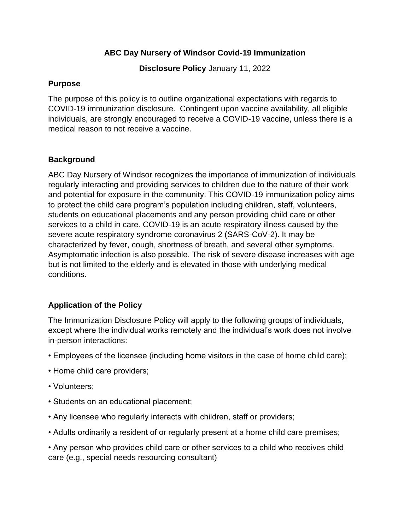#### **ABC Day Nursery of Windsor Covid-19 Immunization**

**Disclosure Policy** January 11, 2022

#### **Purpose**

The purpose of this policy is to outline organizational expectations with regards to COVID-19 immunization disclosure. Contingent upon vaccine availability, all eligible individuals, are strongly encouraged to receive a COVID-19 vaccine, unless there is a medical reason to not receive a vaccine.

# **Background**

ABC Day Nursery of Windsor recognizes the importance of immunization of individuals regularly interacting and providing services to children due to the nature of their work and potential for exposure in the community. This COVID-19 immunization policy aims to protect the child care program's population including children, staff, volunteers, students on educational placements and any person providing child care or other services to a child in care. COVID-19 is an acute respiratory illness caused by the severe acute respiratory syndrome coronavirus 2 (SARS-CoV-2). It may be characterized by fever, cough, shortness of breath, and several other symptoms. Asymptomatic infection is also possible. The risk of severe disease increases with age but is not limited to the elderly and is elevated in those with underlying medical conditions.

# **Application of the Policy**

The Immunization Disclosure Policy will apply to the following groups of individuals, except where the individual works remotely and the individual's work does not involve in-person interactions:

- Employees of the licensee (including home visitors in the case of home child care);
- Home child care providers;
- Volunteers;
- Students on an educational placement;
- Any licensee who regularly interacts with children, staff or providers;
- Adults ordinarily a resident of or regularly present at a home child care premises;

• Any person who provides child care or other services to a child who receives child care (e.g., special needs resourcing consultant)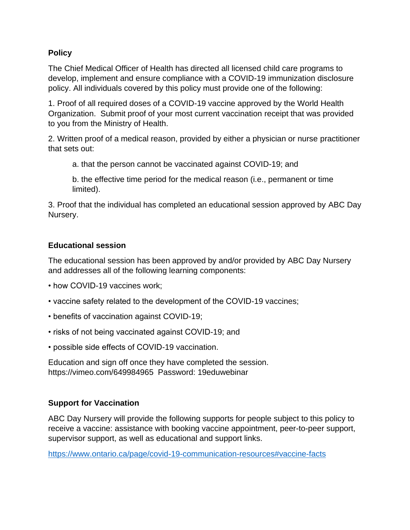# **Policy**

The Chief Medical Officer of Health has directed all licensed child care programs to develop, implement and ensure compliance with a COVID-19 immunization disclosure policy. All individuals covered by this policy must provide one of the following:

1. Proof of all required doses of a COVID-19 vaccine approved by the World Health Organization. Submit proof of your most current vaccination receipt that was provided to you from the Ministry of Health.

2. Written proof of a medical reason, provided by either a physician or nurse practitioner that sets out:

a. that the person cannot be vaccinated against COVID-19; and

b. the effective time period for the medical reason (i.e., permanent or time limited).

3. Proof that the individual has completed an educational session approved by ABC Day Nursery.

#### **Educational session**

The educational session has been approved by and/or provided by ABC Day Nursery and addresses all of the following learning components:

- how COVID-19 vaccines work;
- vaccine safety related to the development of the COVID-19 vaccines;
- benefits of vaccination against COVID-19;
- risks of not being vaccinated against COVID-19; and
- possible side effects of COVID-19 vaccination.

Education and sign off once they have completed the session. https://vimeo.com/649984965 Password: 19eduwebinar

# **Support for Vaccination**

ABC Day Nursery will provide the following supports for people subject to this policy to receive a vaccine: assistance with booking vaccine appointment, peer-to-peer support, supervisor support, as well as educational and support links.

<https://www.ontario.ca/page/covid-19-communication-resources#vaccine-facts>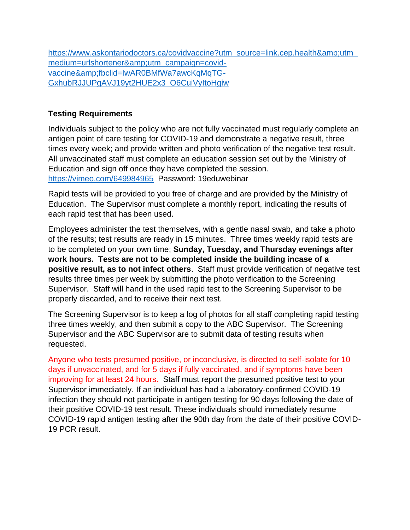https://www.askontariodoctors.ca/covidvaccine?utm\_source=link.cep.health&utm [medium=urlshortener&utm\\_campaign=covid](https://www.askontariodoctors.ca/covidvaccine?utm_source=link.cep.health&utm_medium=urlshortener&utm_campaign=covid-vaccine&fbclid=IwAR0BMfWa7awcKqMqTG-GxhubRJJUPgAVJ19yt2HUE2x3_O6CuiVyItoHgiw)[vaccine&fbclid=IwAR0BMfWa7awcKqMqTG-](https://www.askontariodoctors.ca/covidvaccine?utm_source=link.cep.health&utm_medium=urlshortener&utm_campaign=covid-vaccine&fbclid=IwAR0BMfWa7awcKqMqTG-GxhubRJJUPgAVJ19yt2HUE2x3_O6CuiVyItoHgiw)[GxhubRJJUPgAVJ19yt2HUE2x3\\_O6CuiVyItoHgiw](https://www.askontariodoctors.ca/covidvaccine?utm_source=link.cep.health&utm_medium=urlshortener&utm_campaign=covid-vaccine&fbclid=IwAR0BMfWa7awcKqMqTG-GxhubRJJUPgAVJ19yt2HUE2x3_O6CuiVyItoHgiw)

# **Testing Requirements**

Individuals subject to the policy who are not fully vaccinated must regularly complete an antigen point of care testing for COVID-19 and demonstrate a negative result, three times every week; and provide written and photo verification of the negative test result. All unvaccinated staff must complete an education session set out by the Ministry of Education and sign off once they have completed the session. <https://vimeo.com/649984965>Password: 19eduwebinar

Rapid tests will be provided to you free of charge and are provided by the Ministry of Education. The Supervisor must complete a monthly report, indicating the results of each rapid test that has been used.

Employees administer the test themselves, with a gentle nasal swab, and take a photo of the results; test results are ready in 15 minutes. Three times weekly rapid tests are to be completed on your own time; **Sunday, Tuesday, and Thursday evenings after work hours. Tests are not to be completed inside the building incase of a positive result, as to not infect others**. Staff must provide verification of negative test results three times per week by submitting the photo verification to the Screening Supervisor. Staff will hand in the used rapid test to the Screening Supervisor to be properly discarded, and to receive their next test.

The Screening Supervisor is to keep a log of photos for all staff completing rapid testing three times weekly, and then submit a copy to the ABC Supervisor. The Screening Supervisor and the ABC Supervisor are to submit data of testing results when requested.

Anyone who tests presumed positive, or inconclusive, is directed to self-isolate for 10 days if unvaccinated, and for 5 days if fully vaccinated, and if symptoms have been improving for at least 24 hours. Staff must report the presumed positive test to your Supervisor immediately. If an individual has had a laboratory-confirmed COVID-19 infection they should not participate in antigen testing for 90 days following the date of their positive COVID-19 test result. These individuals should immediately resume COVID-19 rapid antigen testing after the 90th day from the date of their positive COVID-19 PCR result.